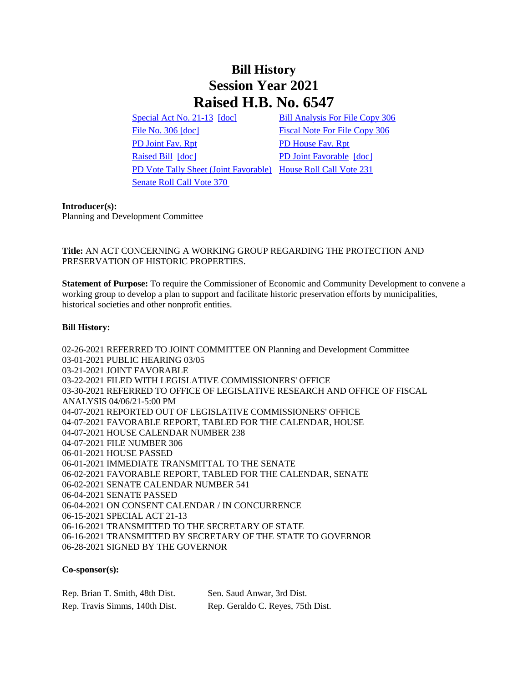# **Bill History Session Year 2021 Raised H.B. No. 6547**

[Special Act No. 21-13](/2021/ACT/SA/PDF/2021SA-00013-R00HB-06547-SA.PDF) [\[doc\]](https://search.cga.state.ct.us/dl2021/SA/DOC/2021SA-00013-R00HB-06547-SA.DOCX) [Bill Analysis For File Copy 306](/2021/BA/PDF/2021HB-06547-R000306-BA.PDF) [File No. 306](/2021/FC/PDF/2021HB-06547-R000306-FC.PDF) [\[doc\]](/2021/FC/PDF/2021HB-06547-R000306-FC.PDF) [Fiscal Note For File Copy 306](/2021/FN/PDF/2021HB-06547-R000306-FN.PDF) [PD Joint Fav. Rpt](/2021/JFR/H/PDF/2021HB-06547-R00PD-JFR.PDF) [PD House Fav. Rpt](/2021/JFR/H/PDF/2021HB-06547-R01PD-JFR.PDF) [Raised Bill](/2021/TOB/H/PDF/2021HB-06547-R00-HB.PDF) [\[doc\]](https://search.cga.state.ct.us/dl2021/TOB/DOC/2021HB-06547-R01-HB.DOCX) [PD Joint Favorable](/2021/TOB/H/PDF/2021HB-06547-R01-HB.PDF) [doc] [PD Vote Tally Sheet \(Joint Favorable\)](/2021/TS/H/PDF/2021HB-06547-R00PD-CV95-TS.PDF) [House Roll Call Vote 231](/2021/VOTE/H/PDF/2021HV-00231-R00HB06547-HV.PDF)  [Senate Roll Call Vote 370](/2021/VOTE/S/PDF/2021SV-00370-R00HB06547-SV.PDF) 

#### **Introducer(s):**

Planning and Development Committee

# **Title:** AN ACT CONCERNING A WORKING GROUP REGARDING THE PROTECTION AND PRESERVATION OF HISTORIC PROPERTIES.

**Statement of Purpose:** To require the Commissioner of Economic and Community Development to convene a working group to develop a plan to support and facilitate historic preservation efforts by municipalities, historical societies and other nonprofit entities.

## **Bill History:**

02-26-2021 REFERRED TO JOINT COMMITTEE ON Planning and Development Committee 03-01-2021 PUBLIC HEARING 03/05 03-21-2021 JOINT FAVORABLE 03-22-2021 FILED WITH LEGISLATIVE COMMISSIONERS' OFFICE 03-30-2021 REFERRED TO OFFICE OF LEGISLATIVE RESEARCH AND OFFICE OF FISCAL ANALYSIS 04/06/21-5:00 PM 04-07-2021 REPORTED OUT OF LEGISLATIVE COMMISSIONERS' OFFICE 04-07-2021 FAVORABLE REPORT, TABLED FOR THE CALENDAR, HOUSE 04-07-2021 HOUSE CALENDAR NUMBER 238 04-07-2021 FILE NUMBER 306 06-01-2021 HOUSE PASSED 06-01-2021 IMMEDIATE TRANSMITTAL TO THE SENATE 06-02-2021 FAVORABLE REPORT, TABLED FOR THE CALENDAR, SENATE 06-02-2021 SENATE CALENDAR NUMBER 541 06-04-2021 SENATE PASSED 06-04-2021 ON CONSENT CALENDAR / IN CONCURRENCE 06-15-2021 SPECIAL ACT 21-13 06-16-2021 TRANSMITTED TO THE SECRETARY OF STATE 06-16-2021 TRANSMITTED BY SECRETARY OF THE STATE TO GOVERNOR 06-28-2021 SIGNED BY THE GOVERNOR

### **Co-sponsor(s):**

| Rep. Brian T. Smith, 48th Dist. | Sen. Saud Anwar, 3rd Dist.        |
|---------------------------------|-----------------------------------|
| Rep. Travis Simms, 140th Dist.  | Rep. Geraldo C. Reyes, 75th Dist. |